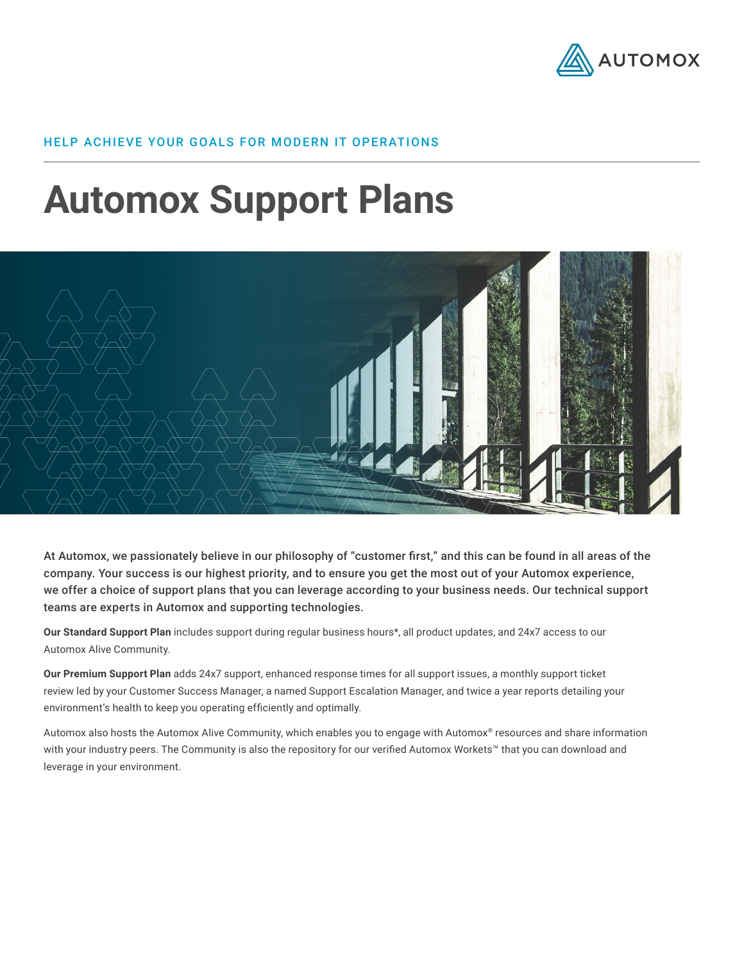

# HELP ACHIEVE YOUR GOALS FOR MODERN IT OPERATIONS

# **Automox Support Plans**



At Automox, we passionately believe in our philosophy of "customer first," and this can be found in all areas of the company. Your success is our highest priority, and to ensure you get the most out of your Automox experience, we offer a choice of support plans that you can leverage according to your business needs. Our technical support teams are experts in Automox and supporting technologies.

**Our Standard Support Plan** includes support during regular business hours\*, all product updates, and 24x7 access to our Automox Alive Community.

**Our Premium Support Plan** adds 24x7 support, enhanced response times for all support issues, a monthly support ticket review led by your Customer Success Manager, a named Support Escalation Manager, and twice a year reports detailing your environment's health to keep you operating efficiently and optimally.

Automox also hosts the Automox Alive Community, which enables you to engage with Automox® resources and share information with your industry peers. The Community is also the repository for our verified Automox Workets™ that you can download and leverage in your environment.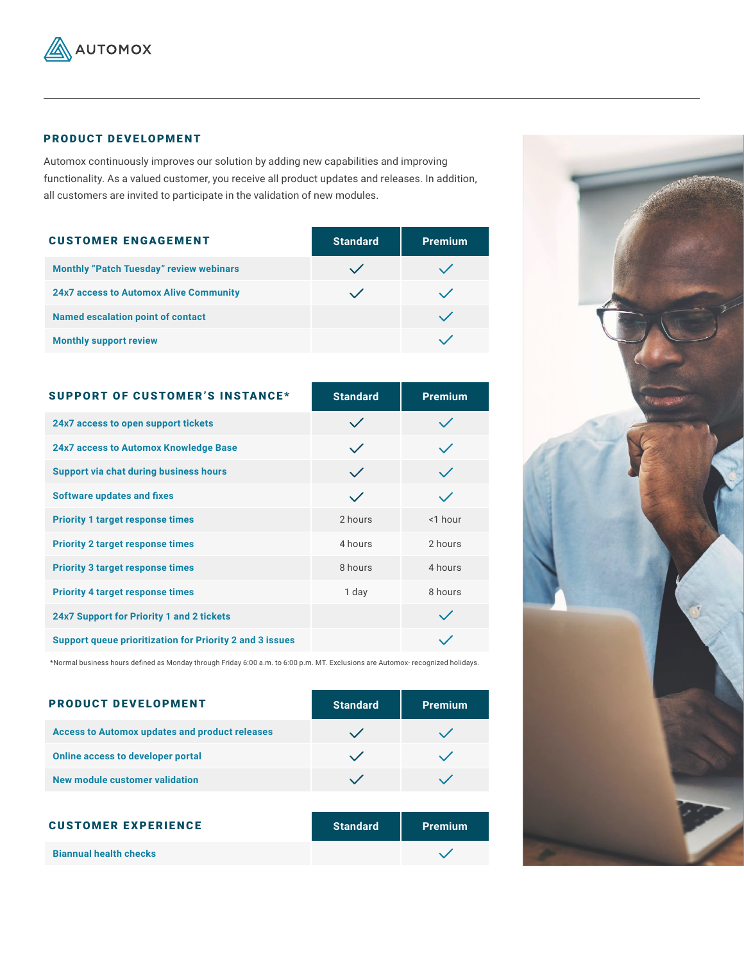

# PRODUCT DEVELOPMENT

Automox continuously improves our solution by adding new capabilities and improving functionality. As a valued customer, you receive all product updates and releases. In addition, all customers are invited to participate in the validation of new modules.

| <b>CUSTOMER ENGAGEMENT</b>                     | <b>Standard</b> | <b>Premium</b> |
|------------------------------------------------|-----------------|----------------|
| <b>Monthly "Patch Tuesday" review webinars</b> |                 |                |
| <b>24x7 access to Automox Alive Community</b>  |                 |                |
| <b>Named escalation point of contact</b>       |                 |                |
| <b>Monthly support review</b>                  |                 |                |

| <b>SUPPORT OF CUSTOMER'S INSTANCE*</b>                          | <b>Standard</b> | <b>Premium</b> |
|-----------------------------------------------------------------|-----------------|----------------|
| 24x7 access to open support tickets                             | $\checkmark$    |                |
| 24x7 access to Automox Knowledge Base                           | $\checkmark$    |                |
| <b>Support via chat during business hours</b>                   | $\checkmark$    |                |
| <b>Software updates and fixes</b>                               | $\checkmark$    |                |
| <b>Priority 1 target response times</b>                         | 2 hours         | $<$ 1 hour     |
| <b>Priority 2 target response times</b>                         | 4 hours         | 2 hours        |
| <b>Priority 3 target response times</b>                         | 8 hours         | 4 hours        |
| <b>Priority 4 target response times</b>                         | 1 day           | 8 hours        |
| <b>24x7 Support for Priority 1 and 2 tickets</b>                |                 |                |
| <b>Support queue prioritization for Priority 2 and 3 issues</b> |                 |                |

\*Normal business hours defined as Monday through Friday 6:00 a.m. to 6:00 p.m. MT. Exclusions are Automox- recognized holidays.

| <b>PRODUCT DEVELOPMENT</b>                            | <b>Standard</b> | <b>Premium</b> |
|-------------------------------------------------------|-----------------|----------------|
| <b>Access to Automox updates and product releases</b> |                 |                |
| <b>Online access to developer portal</b>              |                 |                |
| New module customer validation                        |                 |                |

| <b>CUSTOMER EXPERIENCE</b>    | <b>Standard</b> | <b>Premium</b> |
|-------------------------------|-----------------|----------------|
| <b>Biannual health checks</b> |                 |                |